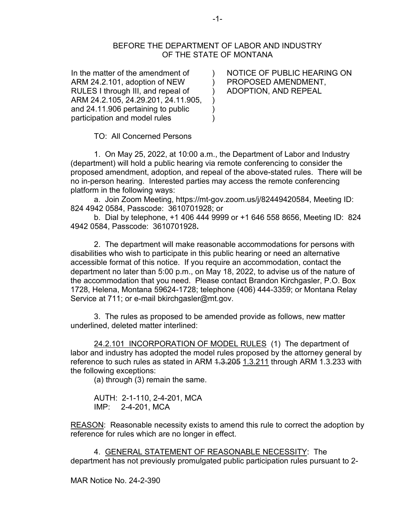## BEFORE THE DEPARTMENT OF LABOR AND INDUSTRY OF THE STATE OF MONTANA

) ) ) ) ) )

In the matter of the amendment of ARM 24.2.101, adoption of NEW RULES I through III, and repeal of ARM 24.2.105, 24.29.201, 24.11.905, and 24.11.906 pertaining to public participation and model rules

NOTICE OF PUBLIC HEARING ON PROPOSED AMENDMENT, ADOPTION, AND REPEAL

TO: All Concerned Persons

1. On May 25, 2022, at 10:00 a.m., the Department of Labor and Industry (department) will hold a public hearing via remote conferencing to consider the proposed amendment, adoption, and repeal of the above-stated rules. There will be no in-person hearing. Interested parties may access the remote conferencing platform in the following ways:

a. Join Zoom Meeting, https://mt-gov.zoom.us/j/82449420584, Meeting ID: 824 4942 0584, Passcode: 3610701928; or

b. Dial by telephone, +1 406 444 9999 or +1 646 558 8656, Meeting ID: 824 4942 0584, Passcode: 3610701928**.**

2. The department will make reasonable accommodations for persons with disabilities who wish to participate in this public hearing or need an alternative accessible format of this notice. If you require an accommodation, contact the department no later than 5:00 p.m., on May 18, 2022, to advise us of the nature of the accommodation that you need. Please contact Brandon Kirchgasler, P.O. Box 1728, Helena, Montana 59624-1728; telephone (406) 444-3359; or Montana Relay Service at 711; or e-mail bkirchgasler@mt.gov.

 3. The rules as proposed to be amended provide as follows, new matter underlined, deleted matter interlined:

24.2.101 INCORPORATION OF MODEL RULES (1) The department of labor and industry has adopted the model rules proposed by the attorney general by reference to such rules as stated in ARM 4.3.205 1.3.211 through ARM 1.3.233 with the following exceptions:

(a) through (3) remain the same.

AUTH: 2-1-110, 2-4-201, MCA IMP: 2-4-201, MCA

REASON: Reasonable necessity exists to amend this rule to correct the adoption by reference for rules which are no longer in effect.

4. GENERAL STATEMENT OF REASONABLE NECESSITY: The department has not previously promulgated public participation rules pursuant to 2-

MAR Notice No. 24-2-390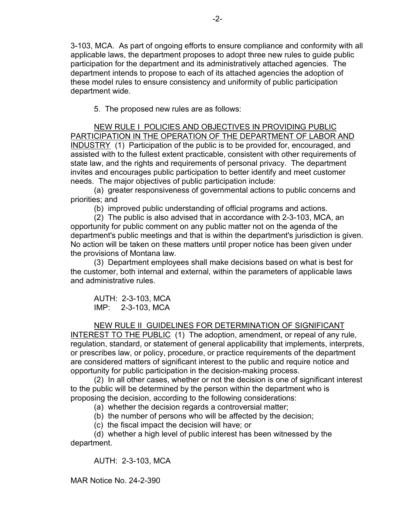3-103, MCA. As part of ongoing efforts to ensure compliance and conformity with all applicable laws, the department proposes to adopt three new rules to guide public participation for the department and its administratively attached agencies. The department intends to propose to each of its attached agencies the adoption of these model rules to ensure consistency and uniformity of public participation department wide.

5. The proposed new rules are as follows:

NEW RULE I POLICIES AND OBJECTIVES IN PROVIDING PUBLIC PARTICIPATION IN THE OPERATION OF THE DEPARTMENT OF LABOR AND INDUSTRY (1) Participation of the public is to be provided for, encouraged, and assisted with to the fullest extent practicable, consistent with other requirements of state law, and the rights and requirements of personal privacy. The department invites and encourages public participation to better identify and meet customer needs. The major objectives of public participation include:

(a) greater responsiveness of governmental actions to public concerns and priorities; and

(b) improved public understanding of official programs and actions.

(2) The public is also advised that in accordance with 2-3-103, MCA, an opportunity for public comment on any public matter not on the agenda of the department's public meetings and that is within the department's jurisdiction is given. No action will be taken on these matters until proper notice has been given under the provisions of Montana law.

(3) Department employees shall make decisions based on what is best for the customer, both internal and external, within the parameters of applicable laws and administrative rules.

AUTH: 2-3-103, MCA IMP: 2-3-103, MCA

## NEW RULE II GUIDELINES FOR DETERMINATION OF SIGNIFICANT

INTEREST TO THE PUBLIC (1) The adoption, amendment, or repeal of any rule, regulation, standard, or statement of general applicability that implements, interprets, or prescribes law, or policy, procedure, or practice requirements of the department are considered matters of significant interest to the public and require notice and opportunity for public participation in the decision-making process.

(2) In all other cases, whether or not the decision is one of significant interest to the public will be determined by the person within the department who is proposing the decision, according to the following considerations:

(a) whether the decision regards a controversial matter;

(b) the number of persons who will be affected by the decision;

(c) the fiscal impact the decision will have; or

(d) whether a high level of public interest has been witnessed by the department.

AUTH: 2-3-103, MCA

MAR Notice No. 24-2-390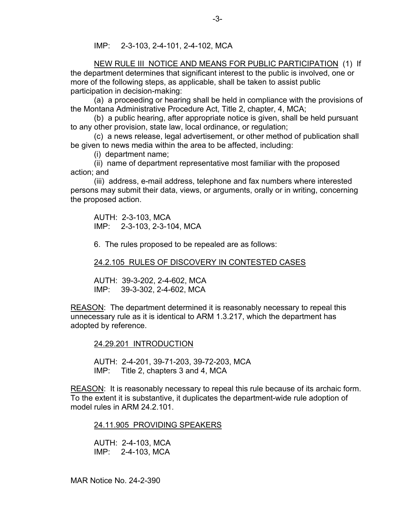IMP: 2-3-103, 2-4-101, 2-4-102, MCA

NEW RULE III NOTICE AND MEANS FOR PUBLIC PARTICIPATION (1) If the department determines that significant interest to the public is involved, one or more of the following steps, as applicable, shall be taken to assist public participation in decision-making:

(a) a proceeding or hearing shall be held in compliance with the provisions of the Montana Administrative Procedure Act, Title 2, chapter, 4, MCA;

(b) a public hearing, after appropriate notice is given, shall be held pursuant to any other provision, state law, local ordinance, or regulation;

(c) a news release, legal advertisement, or other method of publication shall be given to news media within the area to be affected, including:

(i) department name;

(ii) name of department representative most familiar with the proposed action; and

(iii) address, e-mail address, telephone and fax numbers where interested persons may submit their data, views, or arguments, orally or in writing, concerning the proposed action.

AUTH: 2-3-103, MCA IMP: 2-3-103, 2-3-104, MCA

6. The rules proposed to be repealed are as follows:

24.2.105 RULES OF DISCOVERY IN CONTESTED CASES

AUTH: 39-3-202, 2-4-602, MCA IMP: 39-3-302, 2-4-602, MCA

REASON: The department determined it is reasonably necessary to repeal this unnecessary rule as it is identical to ARM 1.3.217, which the department has adopted by reference.

24.29.201 INTRODUCTION

AUTH: 2-4-201, 39-71-203, 39-72-203, MCA IMP: Title 2, chapters 3 and 4, MCA

REASON: It is reasonably necessary to repeal this rule because of its archaic form. To the extent it is substantive, it duplicates the department-wide rule adoption of model rules in ARM 24.2.101.

24.11.905 PROVIDING SPEAKERS

AUTH: 2-4-103, MCA IMP: 2-4-103, MCA

MAR Notice No. 24-2-390